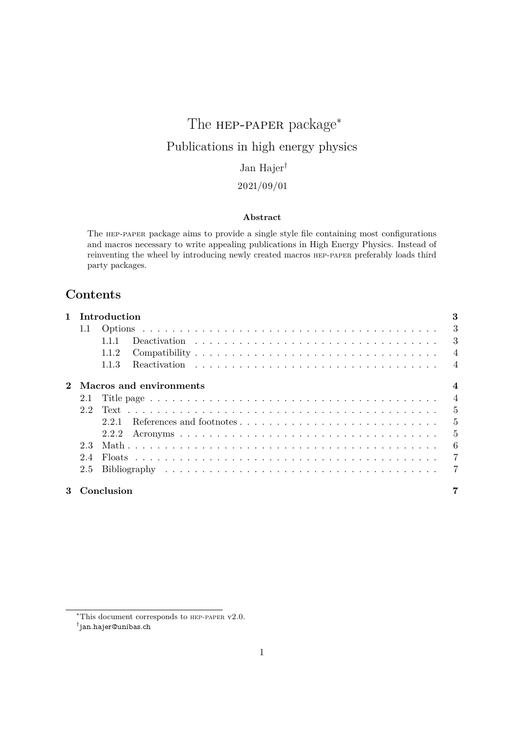# The **нер-рарек** package<sup>\*</sup> Publications in high energy physics Jan Hajer†

# 2021/09/01

### **Abstract**

The hep-paper package aims to provide a single style file containing most configurations and macros necessary to write appealing publications in High Energy Physics. Instead of reinventing the wheel by introducing newly created macros hep-paper preferably loads third party packages.

# **Contents**

| 1 Introduction |                           |                |  |  |
|----------------|---------------------------|----------------|--|--|
| 1.1            |                           |                |  |  |
|                | 1.1.1                     |                |  |  |
|                | 1.1.2                     |                |  |  |
|                | 1.1.3                     |                |  |  |
|                | 2 Macros and environments | $\overline{4}$ |  |  |
|                |                           |                |  |  |
|                |                           |                |  |  |
|                |                           |                |  |  |
|                |                           |                |  |  |
| 2.3            |                           |                |  |  |
| 2.4            |                           |                |  |  |
|                |                           |                |  |  |
|                | 3 Conclusion              |                |  |  |

<sup>∗</sup>This document corresponds to hep-paper v2.0.

<sup>†</sup> [jan.hajer@unibas.ch](mailto:jan.hajer@unibas.ch)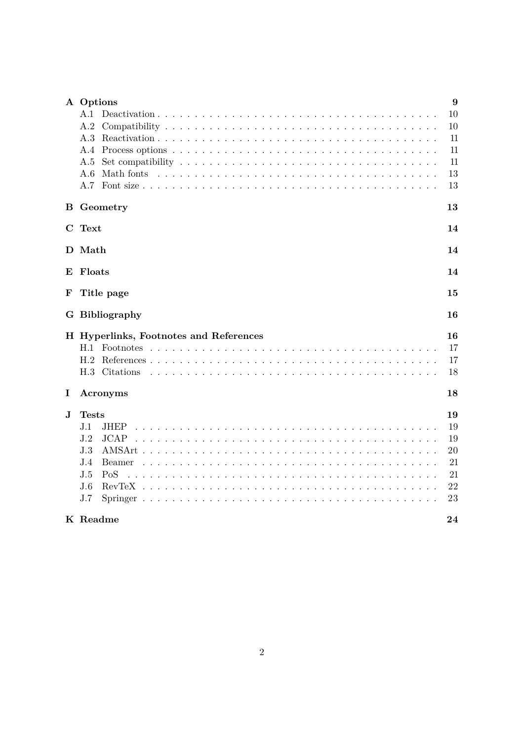|          | A Options                                                                                                             | 9  |  |  |  |
|----------|-----------------------------------------------------------------------------------------------------------------------|----|--|--|--|
|          | A.1                                                                                                                   | 10 |  |  |  |
|          | A.2                                                                                                                   | 10 |  |  |  |
|          | A.3                                                                                                                   | 11 |  |  |  |
|          | A.4                                                                                                                   | 11 |  |  |  |
|          | Set compatibility $\ldots \ldots \ldots \ldots \ldots \ldots \ldots \ldots \ldots \ldots \ldots \ldots \ldots$<br>A.5 | 11 |  |  |  |
|          | A.6                                                                                                                   | 13 |  |  |  |
|          | A.7                                                                                                                   | 13 |  |  |  |
|          | <b>B</b> Geometry                                                                                                     | 13 |  |  |  |
|          | C Text                                                                                                                | 14 |  |  |  |
|          | D Math                                                                                                                | 14 |  |  |  |
| E        | Floats<br>14                                                                                                          |    |  |  |  |
| F        | Title page<br>15                                                                                                      |    |  |  |  |
|          | G Bibliography                                                                                                        | 16 |  |  |  |
|          | H Hyperlinks, Footnotes and References                                                                                |    |  |  |  |
|          | H.1 Footnotes                                                                                                         | 17 |  |  |  |
|          | H.2                                                                                                                   | 17 |  |  |  |
|          | H.3 Citations                                                                                                         | 18 |  |  |  |
| $\bf{l}$ | Acronyms                                                                                                              | 18 |  |  |  |
| J.       | <b>Tests</b>                                                                                                          | 19 |  |  |  |
|          | J.1<br><b>JHEP</b>                                                                                                    | 19 |  |  |  |
|          | J.2<br><b>JCAP</b>                                                                                                    | 19 |  |  |  |
|          | J.3                                                                                                                   | 20 |  |  |  |
|          | J.4<br>Beamer                                                                                                         | 21 |  |  |  |
|          | J.5<br>PoS                                                                                                            | 21 |  |  |  |
|          | J.6                                                                                                                   | 22 |  |  |  |
|          | J.7                                                                                                                   | 23 |  |  |  |
|          | K Readme                                                                                                              | 24 |  |  |  |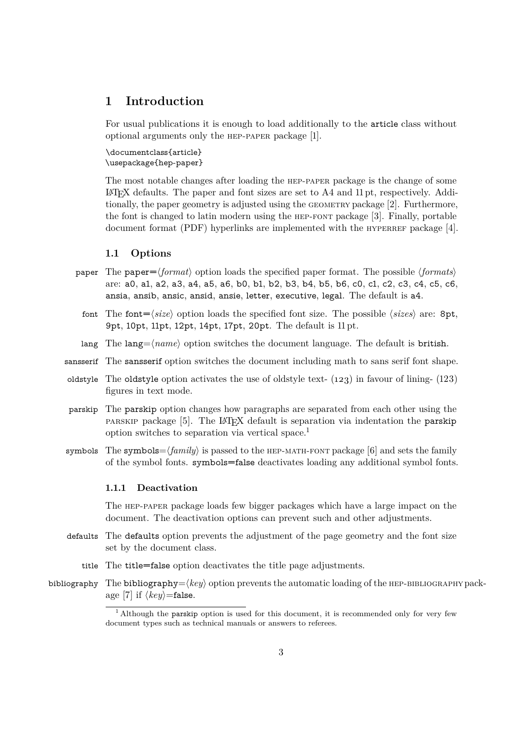# <span id="page-2-6"></span><span id="page-2-0"></span>**1 Introduction**

For usual publications it is enough to load additionally to the article class without optional arguments only the hep-paper package [\[1\]](#page-23-1).

\documentclass{article} \usepackage{hep-paper}

<span id="page-2-5"></span>The most notable changes after loading the hep-paper package is the change of some  $\Delta E$ <sub>TEX</sub> defaults. The paper and font sizes are set to A4 and 11 pt, respectively. Additionally, the paper geometry is adjusted using the geometry package [\[2\]](#page-23-2). Furthermore, the font is changed to latin modern using the hep-font package [\[3\]](#page-23-3). Finally, portable document format (PDF) hyperlinks are implemented with the  $HYPERREF$  package [\[4\]](#page-24-0).

#### <span id="page-2-1"></span>**1.1 Options**

- paper The paper= $\langle format \rangle$  option loads the specified paper format. The possible  $\langle format \rangle$ are: a0, a1, a2, a3, a4, a5, a6, b0, b1, b2, b3, b4, b5, b6, c0, c1, c2, c3, c4, c5, c6, ansia, ansib, ansic, ansid, ansie, letter, executive, legal. The default is a4.
	- font The font= $\langle size \rangle$  option loads the specified font size. The possible  $\langle sizes \rangle$  are: 8pt, 9pt, 10pt, 11pt, 12pt, 14pt, 17pt, 20pt. The default is 11 pt.
	- lang The lang= $\langle name \rangle$  option switches the document language. The default is british.
- sansserif The sansserif option switches the document including math to sans serif font shape.
- oldstyle The oldstyle option activates the use of oldstyle text- $(123)$  in favour of lining- $(123)$ figures in text mode.
- parskip The parskip option changes how paragraphs are separated from each other using the parskip package [\[5\]](#page-24-1). The LATEX default is separation via indentation the parskip option switches to separation via vertical space.[1](#page-2-3)
- symbols The symbols= $\langle family \rangle$  is passed to the HEP-MATH-FONT package [\[6\]](#page-24-2) and sets the family of the symbol fonts. symbols=false deactivates loading any additional symbol fonts.

#### <span id="page-2-4"></span><span id="page-2-2"></span>**1.1.1 Deactivation**

The hep-paper package loads few bigger packages which have a large impact on the document. The deactivation options can prevent such and other adjustments.

- defaults The defaults option prevents the adjustment of the page geometry and the font size set by the document class.
	- title The title=false option deactivates the title page adjustments.
- bibliography The bibliography= $\langle key \rangle$  option prevents the automatic loading of the HEP-BIBLIOGRAPHY pack-age [\[7\]](#page-24-3) if  $\langle key \rangle$ =false.

<span id="page-2-3"></span><sup>&</sup>lt;sup>[1](#page-2-4)</sup> Although the parskip option is used for this document, it is recommended only for very few document types such as technical manuals or answers to referees.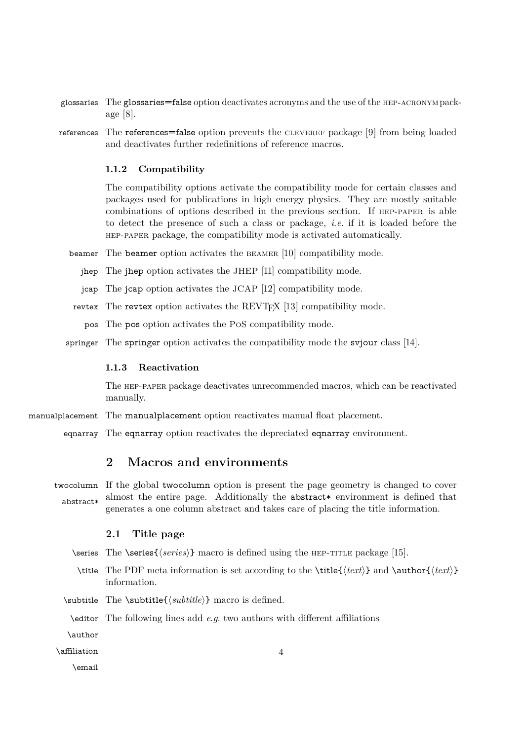- <span id="page-3-4"></span>glossaries The glossaries=false option deactivates acronyms and the use of the hep-acronympackage [\[8\]](#page-24-4).
- references The references=false option prevents the CLEVEREF package [\[9\]](#page-24-5) from being loaded and deactivates further redefinitions of reference macros.

#### <span id="page-3-0"></span>**1.1.2 Compatibility**

The compatibility options activate the compatibility mode for certain classes and packages used for publications in high energy physics. They are mostly suitable combinations of options described in the previous section. If hep-paper is able to detect the presence of such a class or package, *i*.*e*. if it is loaded before the hep-paper package, the compatibility mode is activated automatically.

- beamer The beamer option activates the beamer [\[10\]](#page-24-6) compatibility mode.
	- jhep The jhep option activates the JHEP [\[11\]](#page-24-7) compatibility mode.
	- jcap The jcap option activates the JCAP [\[12\]](#page-24-8) compatibility mode.
- revtex The revtex option activates the REVTEX [\[13\]](#page-24-9) compatibility mode.
	- pos The pos option activates the PoS compatibility mode.
- springer The springer option activates the compatibility mode the svjour class [\[14\]](#page-24-10).

#### <span id="page-3-1"></span>**1.1.3 Reactivation**

The hep-paper package deactivates unrecommended macros, which can be reactivated manually.

- manualplacement The manualplacement option reactivates manual float placement.
	- eqnarray The eqnarray option reactivates the depreciated eqnarray environment.

# <span id="page-3-2"></span>**2 Macros and environments**

twocolumn If the global twocolumn option is present the page geometry is changed to cover abstract\* almost the entire page. Additionally the abstract\* environment is defined that generates a one column abstract and takes care of placing the title information.

#### <span id="page-3-3"></span>**2.1 Title page**

- \series The \series{*\series*}} macro is defined using the HEP-TITLE package [\[15\]](#page-24-11).
	- \title The [PDF](#page-2-5) meta information is set according to the \title{ $\text{text}\}$  and \author{ $\text{text}\}$ } information.
- \subtitle The \subtitle{ $\substack{\text{ell}}$ } macro is defined.

\editor The following lines add *e*.*g*. two authors with different affiliations

\author

\affiliation

\email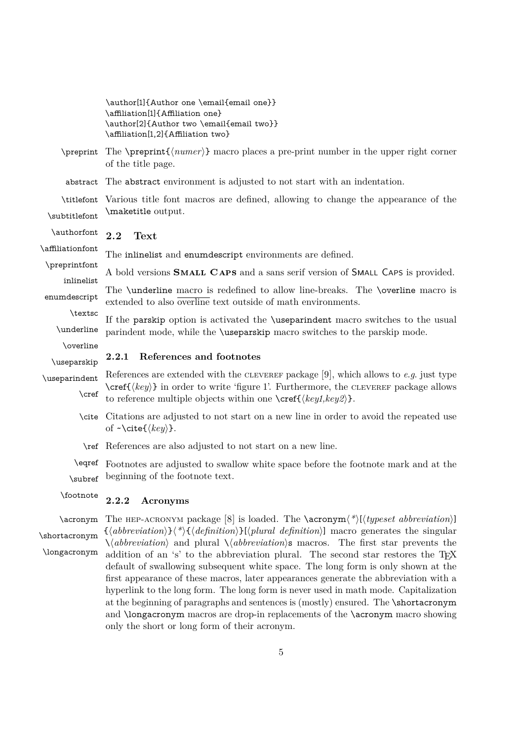<span id="page-4-0"></span>

|                             | \author[1]{Author one \email{email one}}<br>\affiliation[1]{Affiliation one}<br>\author[2]{Author two \email{email two}}<br>\affiliation[1,2]{Affiliation two}                                                                                                    |
|-----------------------------|-------------------------------------------------------------------------------------------------------------------------------------------------------------------------------------------------------------------------------------------------------------------|
| \preprint                   | The $\preceq$ matrix $\{\text{number}\}\$ matro places a pre-print number in the upper right corner<br>of the title page.                                                                                                                                         |
| abstract                    | The abstract environment is adjusted to not start with an indentation.                                                                                                                                                                                            |
| \titlefont<br>\subtitlefont | Various title font macros are defined, allowing to change the appearance of the<br>\maketitle output.                                                                                                                                                             |
| \authorfont                 | 2.2<br>Text                                                                                                                                                                                                                                                       |
| \affiliationfont            | The inlinelist and enumdescript environments are defined.                                                                                                                                                                                                         |
| \preprintfont<br>inlinelist | A bold versions <b>SMALL CAPS</b> and a sans serif version of <b>SMALL CAPS</b> is provided.                                                                                                                                                                      |
| enumdescript                | The \underline macro is redefined to allow line-breaks. The \overline macro is<br>extended to also overline text outside of math environments.                                                                                                                    |
| \textsc<br>\underline       | If the parskip option is activated the <i>suseparindent</i> macro switches to the usual<br>parindent mode, while the <i>suseparskip</i> macro switches to the parskip mode.                                                                                       |
| \overline<br>\useparskip    | References and footnotes<br>2.2.1                                                                                                                                                                                                                                 |
| \useparindent<br>$\cref$    | References are extended with the CLEVEREF package [9], which allows to $e.g.$ just type<br>$\csc\{key\}$ in order to write 'figure 1'. Furthermore, the CLEVEREF package allows<br>to reference multiple objects within one $\cref(\langle key1, key2 \rangle)$ . |
|                             | \cite Citations are adjusted to not start on a new line in order to avoid the repeated use<br>of $\sim \text{cite}(\langle key \rangle)$ .                                                                                                                        |
|                             | \ref References are also adjusted to not start on a new line.                                                                                                                                                                                                     |
|                             | \eqref Footnotes are adjusted to swallow white space before the footnote mark and at the                                                                                                                                                                          |
| \subref                     | beginning of the footnote text.                                                                                                                                                                                                                                   |

#### <span id="page-4-2"></span><span id="page-4-1"></span>\footnote **2.2.2 Acronyms**

\acronym The HEP-ACRONYM package [\[8\]](#page-24-4) is loaded. The \acronym<sup>{\*</sup>)[ $\langle type set\; abbreviation \rangle$ ] \shortacronym \longacronym  $\{\langle abbreviation \rangle\}\langle*\rangle$  $\{\langle definition \rangle\}$ [ $\langle$ *plural definition*)] macro generates the singular  $\setminus \langle abbreviation \rangle$  and plural  $\setminus \langle abbreviation \rangle$ s macros. The first star prevents the addition of an 's' to the abbreviation plural. The second star restores the TEX default of swallowing subsequent white space. The long form is only shown at the first appearance of these macros, later appearances generate the abbreviation with a hyperlink to the long form. The long form is never used in math mode. Capitalization at the beginning of paragraphs and sentences is (mostly) ensured. The \shortacronym and \longacronym macros are drop-in replacements of the \acronym macro showing only the short or long form of their acronym.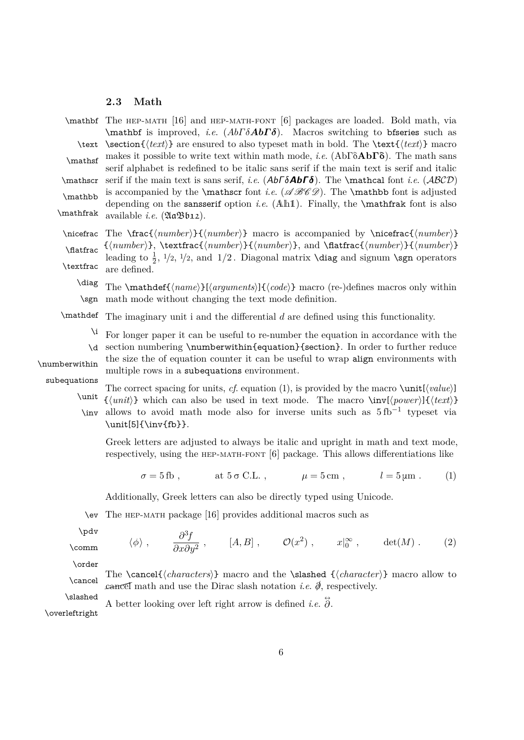#### <span id="page-5-2"></span><span id="page-5-0"></span>**2.3 Math**

 $\mathbf{ The HEP-MATH}$  [\[16\]](#page-24-12) and HEP-MATH-FONT [\[6\]](#page-24-2) packages are loaded. Bold math, via \mathbf is improved, *i*.*e*. (*AbΓ δAbΓ δ*). Macros switching to bfseries such as \text \section{ $\text{text}$ } are ensured to also typeset math in bold. The \text{ $\text{text}$ } macro makes it possible to write text within math mode, *<sup>i</sup>*.*e*. (AbΓδ**Ab**Γδ). The math sans \mathsf serif alphabet is redefined to be italic sans serif if the main text is serif and italic  $\mathcal{A}b\Gamma\delta$ . The \mathcal font *i.e.* (*ABCD*) \mathbb is accompanied by the \mathscr font *i.e.* ( $\mathscr{A}\mathscr{B}\mathscr{C}$ ). The \mathbb font is adjusted depending on the sansserif option *i*.*e*. (Ah1). Finally, the \mathfrak font is also \mathfrak available *i*.*e*. (AaBb12).

 $\n\in \frac{\{number\}}{\{number\}}$  macro is accompanied by  $\n\in \frac{\{number\}}{\}$ \flatfrac \textfrac  $\{\langle number \rangle\}, \text{trans}(\langle number \rangle, \mathcal{H}(\langle number \rangle)$ , and  $\mathcal{H}(\langle number \rangle)$ leading to  $\frac{1}{2}$ ,  $1/2$ ,  $1/2$ , and  $1/2$ . Diagonal matrix **\diag** and signum **\sgn** operators are defined.

\diag \sgn The  $\mathcal{f}(name)\}\{arguments\}\{code\rangle$  macro (re-)defines macros only within math mode without changing the text mode definition.

\mathdef The imaginary unit i and the differential *d* are defined using this functionality.

\i \d For longer paper it can be useful to re-number the equation in accordance with the section numbering \numberwithin{equation}{section}. In order to further reduce

\numberwithin

the size the of equation counter it can be useful to wrap align environments with multiple rows in a subequations environment.

subequations

The correct spacing for units, *cf.* [equation \(1\),](#page-5-1) is provided by the macro  $\unit[\langle value \rangle]$ \unit \inv  $\{\langle unit \rangle\}$  which can also be used in text mode. The macro  $\infty(\text{power})\}\{\langle text \rangle\}$ allows to avoid math mode also for inverse units such as  $5$  fb<sup>-1</sup> typeset via \unit[5]{\inv{fb}}.

Greek letters are adjusted to always be italic and upright in math and text mode, respectively, using the hep-math-font [\[6\]](#page-24-2) package. This allows differentiations like

<span id="page-5-1"></span> $\sigma = 5$  fb, at  $5 \sigma$  C.L.,  $\mu = 5$  cm,  $l = 5 \mu$ m *.* (1)

Additionally, Greek letters can also be directly typed using Unicode.

\ev The hep-math package [\[16\]](#page-24-12) provides additional macros such as

\pdv

\comm  $\langle \phi \rangle$ ,  $\frac{\partial^3 f}{\partial \phi^2}$  $\frac{\partial f}{\partial x \partial y^2}$ , [*A, B*],  $\mathcal{O}(x^2)$ ,  $x|_0^\infty$ , det(*M*). (2)

\order

The  $\cancel {\langle characters \rangle}$  macro and the  $\sl{character}$  macro allow to  $\mathcal{L}$  cancel math and use the Dirac slash notation *i.e.*  $\hat{\phi}$ , respectively.

\slashed

A better looking over left right arrow is defined *i.e.*  $\ddot{\partial}$ .

\overleftright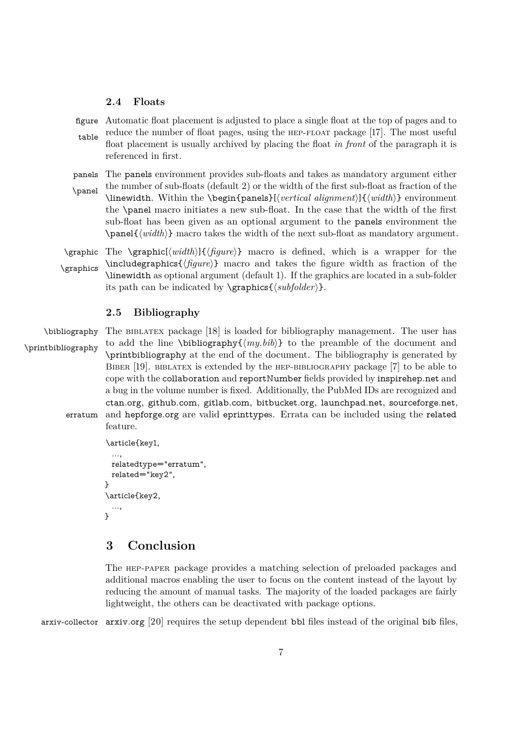#### <span id="page-6-3"></span><span id="page-6-0"></span>**2.4 Floats**

figure Automatic float placement is adjusted to place a single float at the top of pages and to table reduce the number of float pages, using the hep-float package [\[17\]](#page-24-13). The most useful float placement is usually archived by placing the float *in front* of the paragraph it is referenced in first.

panels The panels environment provides sub-floats and takes as mandatory argument either \panel the number of sub-floats (default 2) or the width of the first sub-float as fraction of the \linewidth. Within the \begin{panels}[h*vertical alignment*i]{h*width*i} environment the \panel macro initiates a new sub-float. In the case that the width of the first sub-float has been given as an optional argument to the panels environment the  $\text{parent}\{\text{width}\}$  macro takes the width of the next sub-float as mandatory argument.

 $\langle$   $\frac{h}{h}\$ { $\langle$ *figure*}} macro is defined, which is a wrapper for the \graphics \includegraphics { $\{figure\}$ } macro and takes the figure width as fraction of the \linewidth as optional argument (default 1). If the graphics are located in a sub-folder its path can be indicated by  $\sqrt{\frac{\langle \text{subfolder} \rangle}{\langle \text{subfolder} \rangle}}$ .

#### <span id="page-6-1"></span>**2.5 Bibliography**

\bibliography The BIBLATEX package [\[18\]](#page-24-14) is loaded for bibliography management. The user has \printbibliography to add the line \bibliography $\{(my.bib)\}$  to the preamble of the document and \printbibliography at the end of the document. The bibliography is generated by BIBER [\[19\]](#page-24-15). BIBLATEX is extended by the HEP-BIBLIOGRAPHY package [\[7\]](#page-24-3) to be able to cope with the collaboration and reportNumber fields provided by [inspirehep.net](https://inspirehep.net) and a bug in the volume number is fixed. Additionally, the PubMed IDs are recognized and [ctan.org](https://ctan.org), [github.com](https://github.com), [gitlab.com](https://gitlab.com), [bitbucket.org](https://bitbucket.org), [launchpad.net](https://www.launchpad.net), [sourceforge.net](https://sourceforge.net), erratum and [hepforge.org](https://hepforge.org) are valid eprinttypes. Errata can be included using the related feature.

```
\article{key1,
  ...,
 relatedtype="erratum",
 related="key2",
}
\article{key2,
  ...,
}
```
# <span id="page-6-2"></span>**3 Conclusion**

The hep-paper package provides a matching selection of preloaded packages and additional macros enabling the user to focus on the content instead of the layout by reducing the amount of manual tasks. The majority of the loaded packages are fairly lightweight, the others can be deactivated with package options.

arxiv-collector arxiv.org [\[20\]](#page-24-16) requires the setup dependent bbl files instead of the original bib files,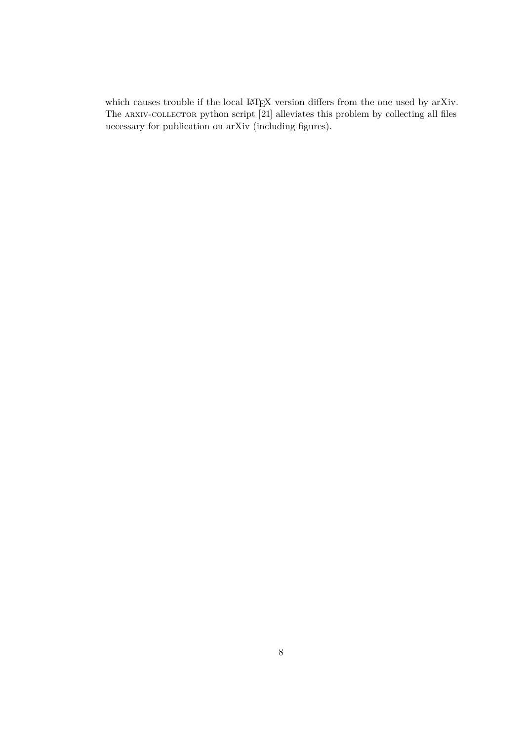<span id="page-7-0"></span>which causes trouble if the local IATEX version differs from the one used by arXiv. The ARXIV-COLLECTOR python script [\[21\]](#page-24-17) alleviates this problem by collecting all files necessary for publication on arXiv (including figures).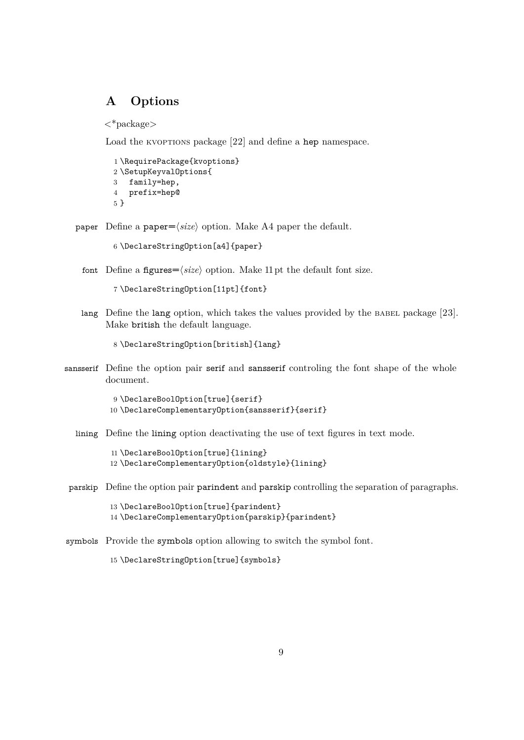# <span id="page-8-1"></span><span id="page-8-0"></span>**A Options**

<\*package>

Load the KVOPTIONS package [\[22\]](#page-25-0) and define a hep namespace.

```
1 \RequirePackage{kvoptions}
2 \SetupKeyvalOptions{
3 family=hep,
4 prefix=hep@
5 }
```
paper Define a paper= $\langle size \rangle$  option. Make A4 paper the default.

6 \DeclareStringOption[a4]{paper}

font Define a figures= $\langle size \rangle$  option. Make 11 pt the default font size.

```
7 \DeclareStringOption[11pt]{font}
```
lang Define the lang option, which takes the values provided by the BABEL package [\[23\]](#page-25-1). Make british the default language.

8 \DeclareStringOption[british]{lang}

sansserif Define the option pair serif and sansserif controling the font shape of the whole document.

```
9 \DeclareBoolOption[true]{serif}
10 \DeclareComplementaryOption{sansserif}{serif}
```
lining Define the lining option deactivating the use of text figures in text mode.

11 \DeclareBoolOption[true]{lining} 12 \DeclareComplementaryOption{oldstyle}{lining}

parskip Define the option pair parindent and parskip controlling the separation of paragraphs.

13 \DeclareBoolOption[true]{parindent} 14 \DeclareComplementaryOption{parskip}{parindent}

symbols Provide the symbols option allowing to switch the symbol font.

15 \DeclareStringOption[true]{symbols}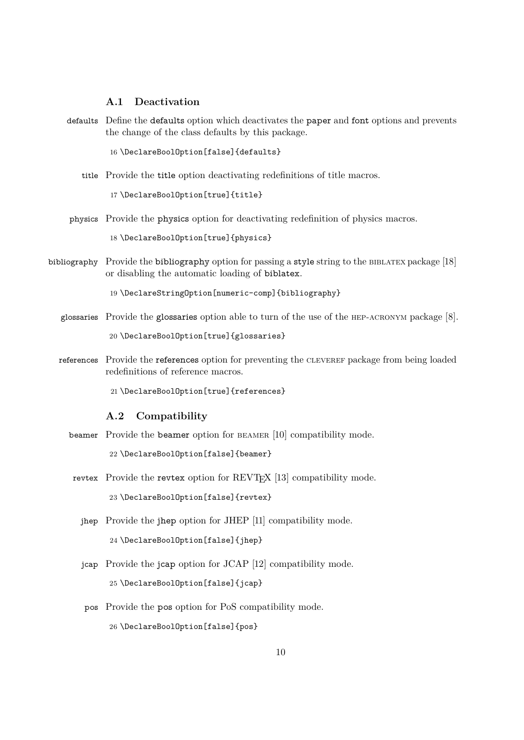# <span id="page-9-0"></span>**A.1 Deactivation**

defaults Define the defaults option which deactivates the paper and font options and prevents the change of the class defaults by this package.

16 \DeclareBoolOption[false]{defaults}

title Provide the title option deactivating redefinitions of title macros.

17 \DeclareBoolOption[true]{title}

physics Provide the physics option for deactivating redefinition of physics macros.

18 \DeclareBoolOption[true]{physics}

bibliography Provide the bibliography option for passing a style string to the BIBLATEX package [\[18\]](#page-24-14) or disabling the automatic loading of biblatex.

19 \DeclareStringOption[numeric-comp]{bibliography}

glossaries Provide the glossaries option able to turn of the use of the hep-acronym package [\[8\]](#page-24-4).

20 \DeclareBoolOption[true]{glossaries}

references Provide the references option for preventing the CLEVEREF package from being loaded redefinitions of reference macros.

21 \DeclareBoolOption[true]{references}

#### <span id="page-9-1"></span>**A.2 Compatibility**

beamer Provide the beamer option for beamer [\[10\]](#page-24-6) compatibility mode.

22 \DeclareBoolOption[false]{beamer}

- revtex Provide the revtex option for REVT<sub>F</sub>X [\[13\]](#page-24-9) compatibility mode. 23 \DeclareBoolOption[false]{revtex}
	- jhep Provide the jhep option for JHEP [\[11\]](#page-24-7) compatibility mode. 24 \DeclareBoolOption[false]{jhep}
	- jcap Provide the jcap option for JCAP [\[12\]](#page-24-8) compatibility mode. 25 \DeclareBoolOption[false]{jcap}
	- pos Provide the pos option for PoS compatibility mode.

26 \DeclareBoolOption[false]{pos}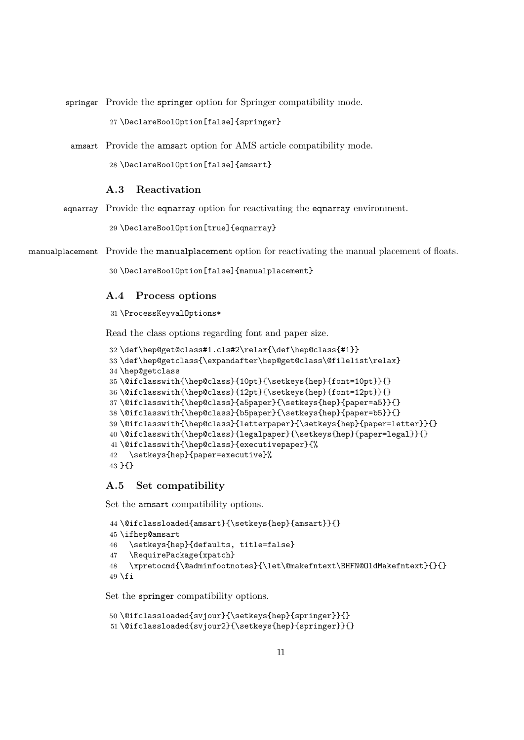springer Provide the springer option for Springer compatibility mode.

\DeclareBoolOption[false]{springer}

amsart Provide the amsart option for AMS article compatibility mode.

\DeclareBoolOption[false]{amsart}

## <span id="page-10-0"></span>**A.3 Reactivation**

eqnarray Provide the eqnarray option for reactivating the eqnarray environment.

\DeclareBoolOption[true]{eqnarray}

manualplacement Provide the manualplacement option for reactivating the manual placement of floats.

\DeclareBoolOption[false]{manualplacement}

#### <span id="page-10-1"></span>**A.4 Process options**

\ProcessKeyvalOptions\*

Read the class options regarding font and paper size.

```
32 \def\hep@get@class#1.cls#2\relax{\def\hep@class{#1}}
33 \def\hep@getclass{\expandafter\hep@get@class\@filelist\relax}
34 \hep@getclass
35 \@ifclasswith{\hep@class}{10pt}{\setkeys{hep}{font=10pt}}{}
36 \@ifclasswith{\hep@class}{12pt}{\setkeys{hep}{font=12pt}}{}
37 \@ifclasswith{\hep@class}{a5paper}{\setkeys{hep}{paper=a5}}{}
38 \@ifclasswith{\hep@class}{b5paper}{\setkeys{hep}{paper=b5}}{}
39 \@ifclasswith{\hep@class}{letterpaper}{\setkeys{hep}{paper=letter}}{}
40 \@ifclasswith{\hep@class}{legalpaper}{\setkeys{hep}{paper=legal}}{}
41 \@ifclasswith{\hep@class}{executivepaper}{%
42 \setkeys{hep}{paper=executive}%
43 }{}
```
#### <span id="page-10-2"></span>**A.5 Set compatibility**

Set the amsart compatibility options.

```
44 \@ifclassloaded{amsart}{\setkeys{hep}{amsart}}{}
45 \ifhep@amsart
46 \setkeys{hep}{defaults, title=false}
47 \RequirePackage{xpatch}
48 \xpretocmd{\@adminfootnotes}{\let\@makefntext\BHFN@OldMakefntext}{}{}
49 \fi
```
Set the springer compatibility options.

```
50 \@ifclassloaded{svjour}{\setkeys{hep}{springer}}{}
51\@ifclassloaded{svjour2}{\setkeys{hep}{springer}}{}
```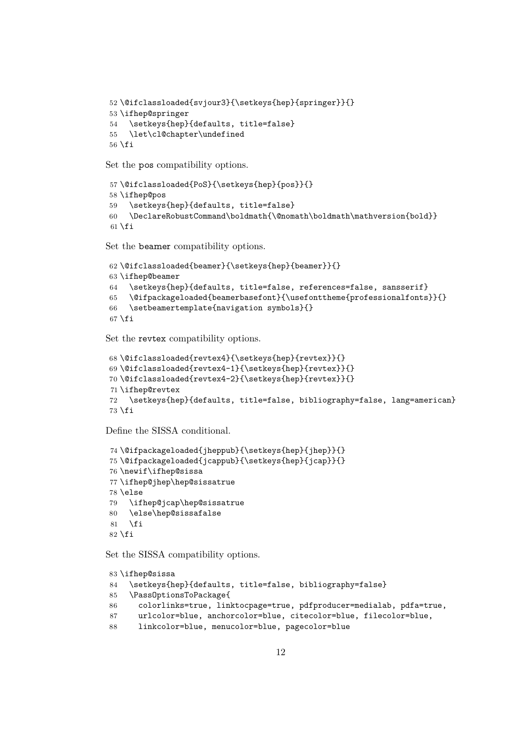```
52\@ifclassloaded{svjour3}{\setkeys{hep}{springer}}{}
53 \ifhep@springer
54 \setkeys{hep}{defaults, title=false}
55 \let\cl@chapter\undefined
56 \fi
```
Set the pos compatibility options.

```
57\@ifclassloaded{PoS}{\setkeys{hep}{pos}}{}
58 \ifhep@pos
59 \setkeys{hep}{defaults, title=false}
60 \DeclareRobustCommand\boldmath{\@nomath\boldmath\mathversion{bold}}
61 \setminus fi
```
Set the beamer compatibility options.

```
62 \@ifclassloaded{beamer}{\setkeys{hep}{beamer}}{}
63 \ifhep@beamer
64 \setkeys{hep}{defaults, title=false, references=false, sansserif}
65 \@ifpackageloaded{beamerbasefont}{\usefonttheme{professionalfonts}}{}
66 \setbeamertemplate{navigation symbols}{}
67 \fi
```
Set the revtex compatibility options.

```
68 \@ifclassloaded{revtex4}{\setkeys{hep}{revtex}}{}
69 \@ifclassloaded{revtex4-1}{\setkeys{hep}{revtex}}{}
70 \@ifclassloaded{revtex4-2}{\setkeys{hep}{revtex}}{}
71 \ifhep@revtex
72 \setkeys{hep}{defaults, title=false, bibliography=false, lang=american}
73 \forallfi
```
Define the SISSA conditional.

```
74 \@ifpackageloaded{jheppub}{\setkeys{hep}{jhep}}{}
75 \@ifpackageloaded{jcappub}{\setkeys{hep}{jcap}}{}
76 \newif\ifhep@sissa
77 \ifhep@jhep\hep@sissatrue
78 \else
79 \ifhep@jcap\hep@sissatrue
80 \else\hep@sissafalse
81 \fi
82 \text{ t}
```
Set the SISSA compatibility options.

```
83 \ifhep@sissa
84 \setkeys{hep}{defaults, title=false, bibliography=false}
85 \PassOptionsToPackage{
86 colorlinks=true, linktocpage=true, pdfproducer=medialab, pdfa=true,
87 urlcolor=blue, anchorcolor=blue, citecolor=blue, filecolor=blue,
88 linkcolor=blue, menucolor=blue, pagecolor=blue
```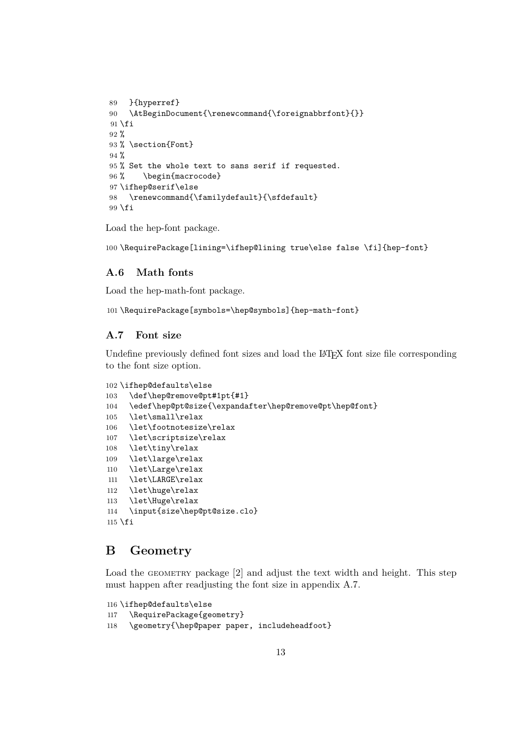```
89 }{hyperref}
90 \AtBeginDocument{\renewcommand{\foreignabbrfont}{}}
91 \fi
92 %
93 % \section{Font}
94 \%95 % Set the whole text to sans serif if requested.
96% \begin{macrocode}
97 \ifhep@serif\else
98 \renewcommand{\familydefault}{\sfdefault}
99 \fi
```
Load the hep-font package.

\RequirePackage[lining=\ifhep@lining true\else false \fi]{hep-font}

#### <span id="page-12-0"></span>**A.6 Math fonts**

Load the hep-math-font package.

\RequirePackage[symbols=\hep@symbols]{hep-math-font}

## <span id="page-12-1"></span>**A.7 Font size**

Undefine previously defined font sizes and load the LATEX font size file corresponding to the font size option.

```
102 \ifhep@defaults\else
103 \def\hep@remove@pt#1pt{#1}
104 \edef\hep@pt@size{\expandafter\hep@remove@pt\hep@font}
105 \let\small\relax
106 \let\footnotesize\relax
107 \let\scriptsize\relax
108 \let\tiny\relax
109 \let\large\relax
110 \let\Large\relax
111 \let\LARGE\relax
112 \let\huge\relax
113 \let\Huge\relax
114 \input{size\hep@pt@size.clo}
115 \fi
```
# <span id="page-12-2"></span>**B Geometry**

Load the GEOMETRY package [\[2\]](#page-23-2) and adjust the text width and height. This step must happen after readjusting the font size in [appendix A.7.](#page-12-1)

```
116 \ifhep@defaults\else
117 \RequirePackage{geometry}
118 \geometry{\hep@paper paper, includeheadfoot}
```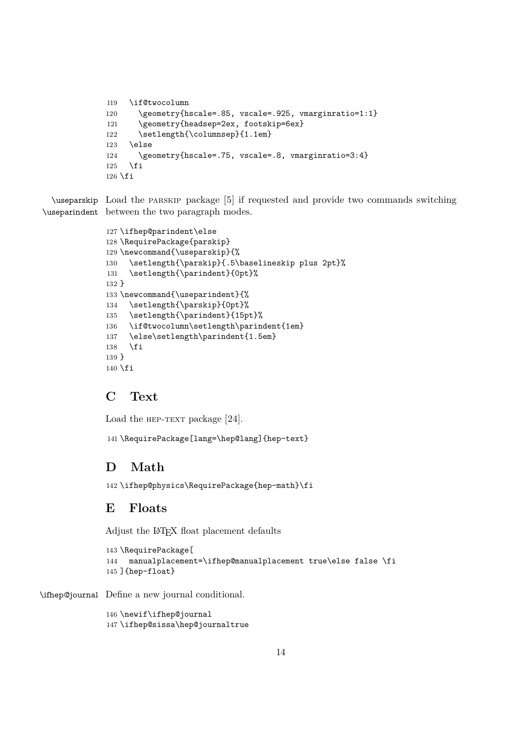```
119 \if@twocolumn
120 \geometry{hscale=.85, vscale=.925, vmarginratio=1:1}
121 \geometry{headsep=2ex, footskip=6ex}
122 \setlength{\columnsep}{1.1em}
123 \else
124 \geometry{hscale=.75, vscale=.8, vmarginratio=3:4}
125 \fi
126 \fi
```
\useparskip Load the parskip package [\[5\]](#page-24-1) if requested and provide two commands switching \useparindent between the two paragraph modes.

```
127 \ifhep@parindent\else
128 \RequirePackage{parskip}
129 \newcommand{\useparskip}{%
130 \setlength{\parskip}{.5\baselineskip plus 2pt}%
131 \setlength{\parindent}{0pt}%
132 }
133 \newcommand{\useparindent}{%
134 \setlength{\parskip}{0pt}%
135 \setlength{\parindent}{15pt}%
136 \if@twocolumn\setlength\parindent{1em}
137 \else\setlength\parindent{1.5em}
138 \fi
139 }
140 \fi
```
# <span id="page-13-0"></span>**C Text**

Load the HEP-TEXT package [\[24\]](#page-25-2).

\RequirePackage[lang=\hep@lang]{hep-text}

# <span id="page-13-1"></span>**D Math**

\ifhep@physics\RequirePackage{hep-math}\fi

# <span id="page-13-2"></span>**E Floats**

Adjust the LATEX float placement defaults

```
143 \RequirePackage[
144 manualplacement=\ifhep@manualplacement true\else false \fi
145 ]{hep-float}
```
\ifhep@journal Define a new journal conditional.

 \newif\ifhep@journal \ifhep@sissa\hep@journaltrue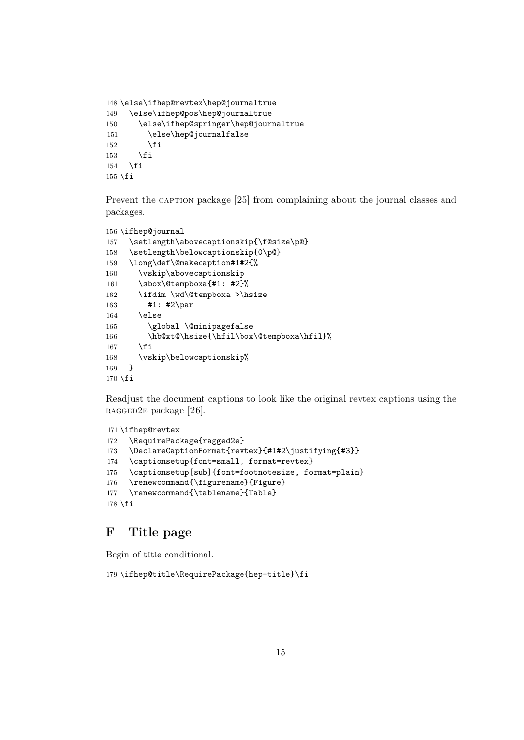```
148 \else\ifhep@revtex\hep@journaltrue
149 \else\ifhep@pos\hep@journaltrue
150 \else\ifhep@springer\hep@journaltrue
151 \else\hep@journalfalse
152 \fi
153 \fi
154 \fi
155 \fi
```
Prevent the caption package [\[25\]](#page-25-3) from complaining about the journal classes and packages.

```
156 \ifhep@journal
157 \setlength\abovecaptionskip{\f@size\p@}
158 \setlength\belowcaptionskip{0\p@}
159 \long\def\@makecaption#1#2{%
160 \vskip\abovecaptionskip
161 \sbox\@tempboxa{#1: #2}%
162 \ifdim \wd\@tempboxa >\hsize
163 #1: #2\par
164 \else
165 \global \@minipagefalse
166 \hb@xt@\hsize{\hfil\box\@tempboxa\hfil}%
167 \fi
168 \vskip\belowcaptionskip%
169 }
170 \fi
```
Readjust the document captions to look like the original revtex captions using the RAGGED2E package [\[26\]](#page-25-4).

```
171 \ifhep@revtex
172 \RequirePackage{ragged2e}
173 \DeclareCaptionFormat{revtex}{#1#2\justifying{#3}}
174 \captionsetup{font=small, format=revtex}
175 \captionsetup[sub]{font=footnotesize, format=plain}
176 \renewcommand{\figurename}{Figure}
177 \renewcommand{\tablename}{Table}
178 \fi
```
# <span id="page-14-0"></span>**F Title page**

Begin of title conditional.

```
179 \ifhep@title\RequirePackage{hep-title}\fi
```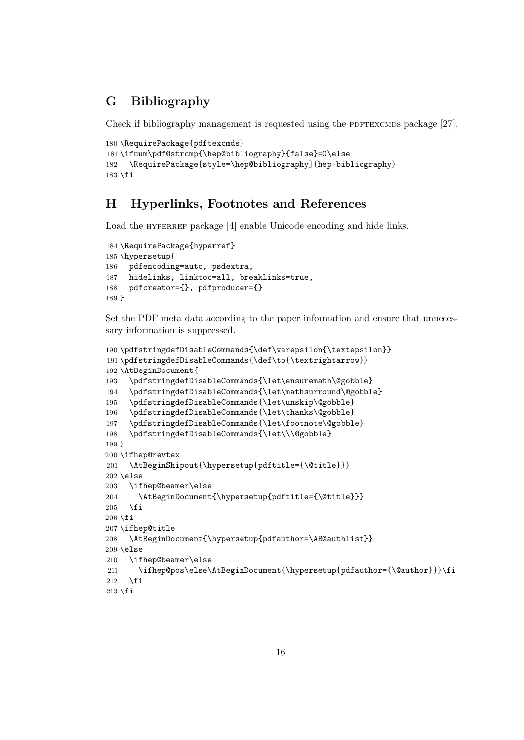# <span id="page-15-2"></span><span id="page-15-0"></span>**G Bibliography**

Check if bibliography management is requested using the PDFTEXCMDS package  $[27]$ .

```
180 \RequirePackage{pdftexcmds}
181 \ifnum\pdf@strcmp{\hep@bibliography}{false}=0\else
182 \RequirePackage[style=\hep@bibliography]{hep-bibliography}
183 \fi
```
# <span id="page-15-1"></span>**H Hyperlinks, Footnotes and References**

Load the HYPERREF package [\[4\]](#page-24-0) enable Unicode encoding and hide links.

```
184 \RequirePackage{hyperref}
185 \hypersetup{
186 pdfencoding=auto, psdextra,
187 hidelinks, linktoc=all, breaklinks=true,
188 pdfcreator={}, pdfproducer={}
189 }
```
Set the [PDF](#page-2-5) meta data according to the paper information and ensure that unnecessary information is suppressed.

```
190 \pdfstringdefDisableCommands{\def\varepsilon{\textepsilon}}
191 \pdfstringdefDisableCommands{\def\to{\textrightarrow}}
192 \AtBeginDocument{
193 \pdfstringdefDisableCommands{\let\ensuremath\@gobble}
194 \pdfstringdefDisableCommands{\let\mathsurround\@gobble}
195 \pdfstringdefDisableCommands{\let\unskip\@gobble}
196 \pdfstringdefDisableCommands{\let\thanks\@gobble}
197 \pdfstringdefDisableCommands{\let\footnote\@gobble}
198 \pdfstringdefDisableCommands{\let\\\@gobble}
199 }
200 \ifhep@revtex
201 \AtBeginShipout{\hypersetup{pdftitle={\@title}}}
202 \else
203 \ifhep@beamer\else
204 \AtBeginDocument{\hypersetup{pdftitle={\@title}}}
205 \fi
206 \fi
207 \ifhep@title
208 \AtBeginDocument{\hypersetup{pdfauthor=\AB@authlist}}
209 \else
210 \ifhep@beamer\else
211 \ifhep@pos\else\AtBeginDocument{\hypersetup{pdfauthor={\@author}}}\fi
212 \, \text{Vfi}213 \fi
```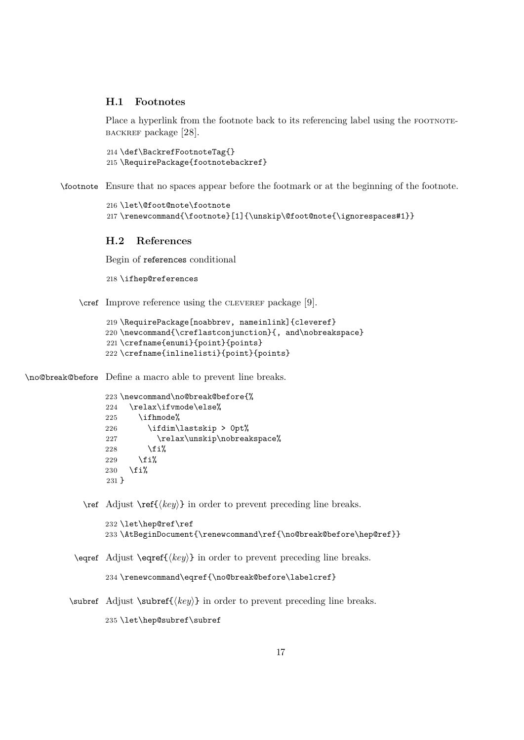#### <span id="page-16-2"></span><span id="page-16-0"></span>**H.1 Footnotes**

Place a hyperlink from the footnote back to its referencing label using the FOOTNOTEbackref package [\[28\]](#page-25-6).

214 \def\BackrefFootnoteTag{} 215 \RequirePackage{footnotebackref}

\footnote Ensure that no spaces appear before the footmark or at the beginning of the footnote.

```
216 \let\@foot@note\footnote
217 \renewcommand{\footnote}[1]{\unskip\@foot@note{\ignorespaces#1}}
```
# <span id="page-16-1"></span>**H.2 References**

Begin of references conditional

218 \ifhep@references

\cref Improve reference using the cleveref package [\[9\]](#page-24-5).

```
219 \RequirePackage[noabbrev, nameinlink]{cleveref}
220 \newcommand{\creflastconjunction}{, and\nobreakspace}
221 \crefname{enumi}{point}{points}
222 \crefname{inlinelisti}{point}{points}
```
\no@break@before Define a macro able to prevent line breaks.

```
223 \newcommand\no@break@before{%
224 \relax\ifvmode\else%
225 \ifhmode%
226 \ifdim\lastskip > 0pt%
227 \relax\unskip\nobreakspace%
228 \overline{1}\229 \overline{\text{if}'}230 \overline{\text{f}1}231 }
```
 $\ref{key}$  in order to prevent preceding line breaks.

```
232 \let\hep@ref\ref
233 \AtBeginDocument{\renewcommand\ref{\no@break@before\hep@ref}}
```
\eqref Adjust \eqref{ $\langle key \rangle$ } in order to prevent preceding line breaks.

```
234 \renewcommand\eqref{\no@break@before\labelcref}
```
\subref Adjust \subref $\{\langle key \rangle\}$  in order to prevent preceding line breaks.

235 \let\hep@subref\subref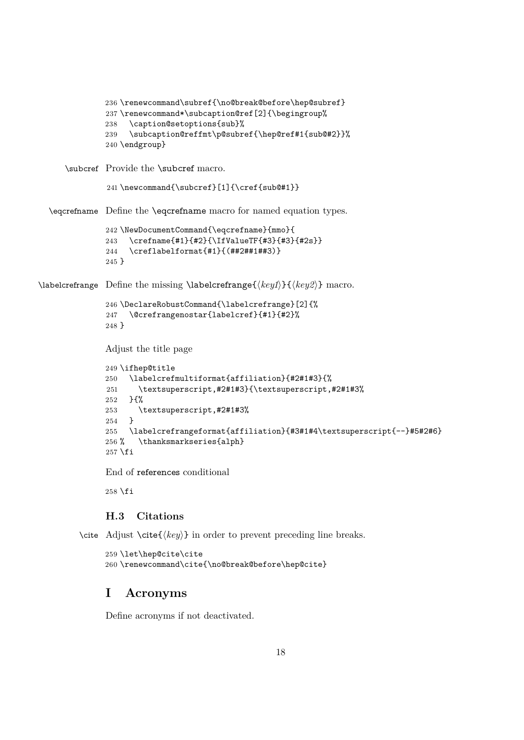```
236 \renewcommand\subref{\no@break@before\hep@subref}
               237 \renewcommand*\subcaption@ref[2]{\begingroup%
               238 \caption@setoptions{sub}%
               239 \subcaption@reffmt\p@subref{\hep@ref#1{sub@#2}}%
               240 \endgroup}
     \subcref Provide the \subcref macro.
               241 \newcommand{\subcref}[1]{\cref{sub@#1}}
  \eqcrefname Define the \eqcrefname macro for named equation types.
               242 \NewDocumentCommand{\eqcrefname}{mmo}{
               243 \crefname{#1}{#2}{\IfValueTF{#3}{#3}{#2s}}
               244 \creflabelformat{#1}{(##2##1##3)}
               245 }
\labelcrefrange Define the missing \labelcrefrange{\{key1\}}{\{key2\} macro.
               246 \DeclareRobustCommand{\labelcrefrange}[2]{%
               247 \@crefrangenostar{labelcref}{#1}{#2}%
               248 }
               Adjust the title page
               249 \ifhep@title
              250 \labelcrefmultiformat{affiliation}{#2#1#3}{%
               251 \textsuperscript,#2#1#3}{\textsuperscript,#2#1#3%
               252 }{%
               253 \text{superscript}, \#2\#1\#3\<br>254 }
               254 }
               255 \labelcrefrangeformat{affiliation}{#3#1#4\textsuperscript{--}#5#2#6}
               256 % \thanksmarkseries{alph}
               257 \fi
```
End of references conditional

\fi

# <span id="page-17-0"></span>**H.3 Citations**

```
\cite Adjust \cite\{\langle key \rangle\} in order to prevent preceding line breaks.
```

```
259 \let\hep@cite\cite
260 \renewcommand\cite{\no@break@before\hep@cite}
```
# <span id="page-17-1"></span>**I Acronyms**

Define acronyms if not deactivated.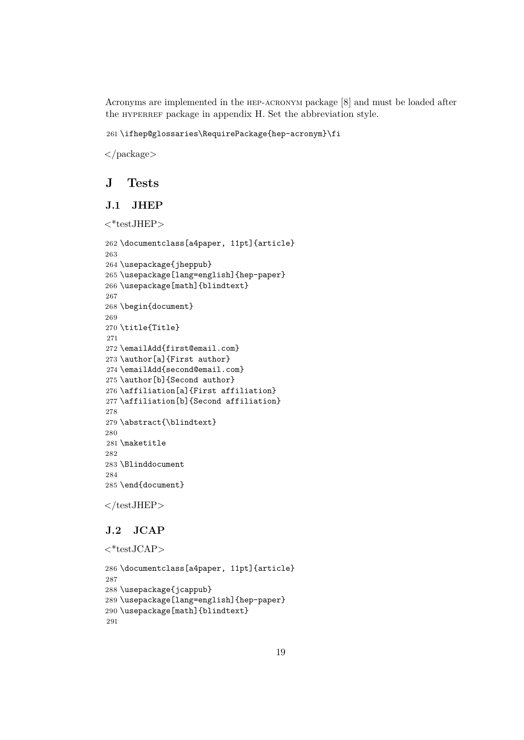Acronyms are implemented in the hep-acronym package [\[8\]](#page-24-4) and must be loaded after the HYPERREF package in [appendix H.](#page-15-1) Set the abbreviation style.

\ifhep@glossaries\RequirePackage{hep-acronym}\fi

</package>

# <span id="page-18-0"></span>**J Tests**

# <span id="page-18-1"></span>**J.1 JHEP**

```
<*testJHEP>
```

```
262 \documentclass[a4paper, 11pt]{article}
263
264 \usepackage{jheppub}
265 \usepackage[lang=english]{hep-paper}
266 \usepackage[math]{blindtext}
267
268 \begin{document}
269
270 \title{Title}
271
272 \emailAdd{first@email.com}
273 \author[a]{First author}
274 \emailAdd{second@email.com}
275 \author[b]{Second author}
276 \affiliation[a]{First affiliation}
277 \affiliation[b]{Second affiliation}
278
279 \abstract{\blindtext}
280
281 \maketitle
282
283 \Blinddocument
284
285 \end{document}
```
 $\langle$ /testJHEP $>$ 

# <span id="page-18-2"></span>**J.2 JCAP**

```
\langle*testJCAP>286 \documentclass[a4paper, 11pt]{article}
287
288 \usepackage{jcappub}
289 \usepackage[lang=english]{hep-paper}
290 \usepackage[math]{blindtext}
291
```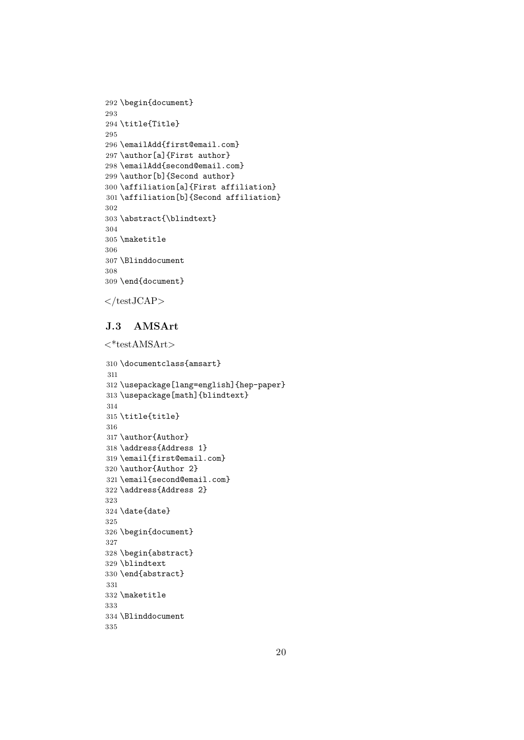```
292 \begin{document}
293
294 \title{Title}
295
296 \emailAdd{first@email.com}
297 \author[a]{First author}
298 \emailAdd{second@email.com}
299 \author[b]{Second author}
300 \affiliation[a]{First affiliation}
301 \affiliation[b]{Second affiliation}
302
303 \abstract{\blindtext}
304
305 \maketitle
306
307 \Blinddocument
308
309 \end{document}
```

```
\langletestJCAP>
```
# <span id="page-19-0"></span>**J.3 AMSArt**

```
\langle*testAMSArt>310 \documentclass{amsart}
311
312 \usepackage[lang=english]{hep-paper}
313 \usepackage[math]{blindtext}
314
315 \title{title}
316
317 \author{Author}
318 \address{Address 1}
319 \email{first@email.com}
320 \author{Author 2}
321 \email{second@email.com}
322 \address{Address 2}
323
324 \date{date}
325
326 \begin{document}
327
328 \begin{abstract}
329 \blindtext
330 \end{abstract}
331
332 \maketitle
333
334 \Blinddocument
```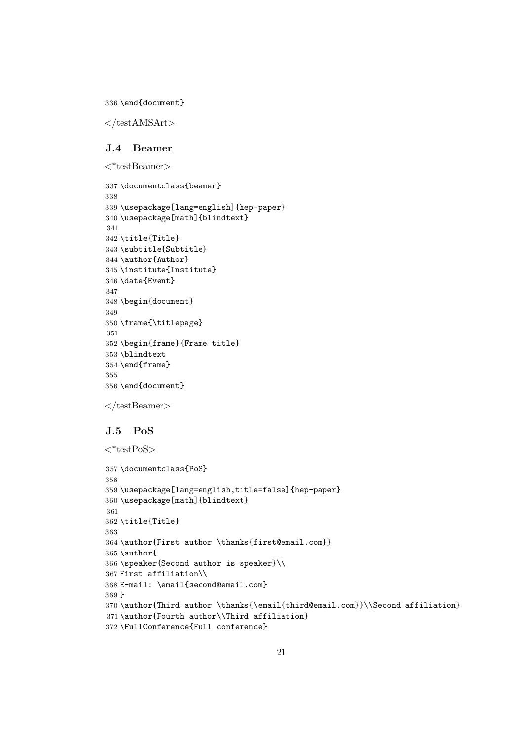\end{document}

 $\langle$ testAMSArt $>$ 

#### <span id="page-20-0"></span>**J.4 Beamer**

 $\langle$ \*testBeamer $\rangle$ 

```
337 \documentclass{beamer}
338
339 \usepackage[lang=english]{hep-paper}
340 \usepackage[math]{blindtext}
341
342 \title{Title}
343 \subtitle{Subtitle}
344 \author{Author}
345 \institute{Institute}
346 \date{Event}
347
348 \begin{document}
349
350 \frame{\titlepage}
351
352 \begin{frame}{Frame title}
353 \blindtext
354 \end{frame}
355
356 \end{document}
```
 $\langle$ testBeamer>

# <span id="page-20-1"></span>**J.5 PoS**

```
\langle*testPoS>357 \documentclass{PoS}
358
359 \usepackage[lang=english,title=false]{hep-paper}
360 \usepackage[math]{blindtext}
361
362 \title{Title}
363
364 \author{First author \thanks{first@email.com}}
365 \author{
366 \speaker{Second author is speaker}\\
367 First affiliation\\
368 E-mail: \email{second@email.com}
369 }
370 \author{Third author \thanks{\email{third@email.com}}\\Second affiliation}
371 \author{Fourth author\\Third affiliation}
372 \FullConference{Full conference}
```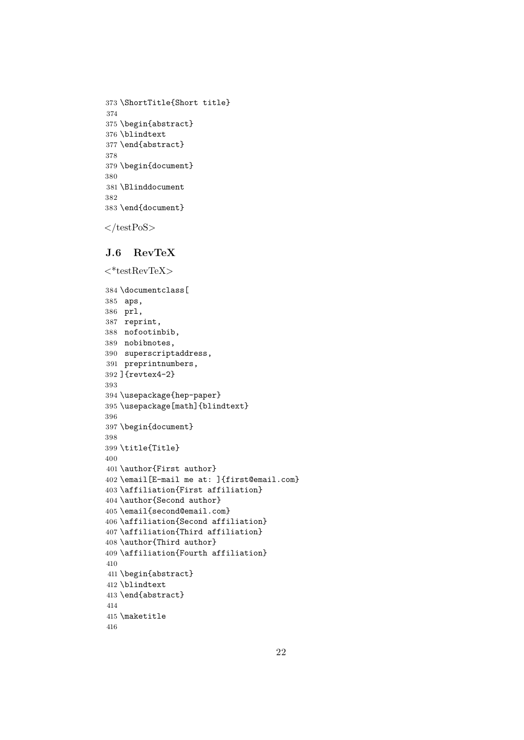```
373 \ShortTitle{Short title}
374
375 \begin{abstract}
376 \blindtext
377 \end{abstract}
378
379 \begin{document}
380
381 \Blinddocument
382
383 \end{document}
```
 $\langle$ /testPoS $>$ 

#### <span id="page-21-0"></span>**J.6 RevTeX**

```
\langle * \text{testRevTeV} \rangle384 \documentclass[
385 aps,
386 prl,
387 reprint,
388 nofootinbib,
389 nobibnotes,
390 superscriptaddress,
391 preprintnumbers,
392 ]{revtex4-2}
393
394 \usepackage{hep-paper}
395 \usepackage[math]{blindtext}
396
397 \begin{document}
398
399 \title{Title}
400
401 \author{First author}
402 \email[E-mail me at: ]{first@email.com}
403 \affiliation{First affiliation}
404 \author{Second author}
405 \email{second@email.com}
406 \affiliation{Second affiliation}
407 \affiliation{Third affiliation}
408 \author{Third author}
409 \affiliation{Fourth affiliation}
410
411 \begin{abstract}
412 \blindtext
413 \end{abstract}
414
415 \maketitle
416
```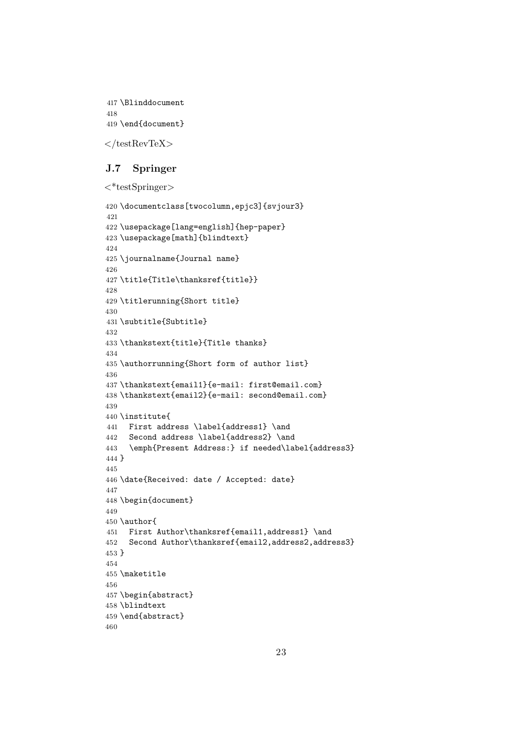```
417 \Blinddocument
418
419 \end{document}
```
 $\langle$ testRevTeX $>$ 

# <span id="page-22-0"></span>**J.7 Springer**

```
\langle*testSpringer\rangle
```

```
420 \documentclass[twocolumn,epjc3]{svjour3}
421
422 \usepackage[lang=english]{hep-paper}
423 \usepackage[math]{blindtext}
424
425 \journalname{Journal name}
426
427 \title{Title\thanksref{title}}
428
429 \titlerunning{Short title}
430
431 \subtitle{Subtitle}
432
433 \thankstext{title}{Title thanks}
434
435 \authorrunning{Short form of author list}
436
437 \thankstext{email1}{e-mail: first@email.com}
438 \thankstext{email2}{e-mail: second@email.com}
439
440 \institute{
441 First address \label{address1} \and
442 Second address \label{address2} \and
443 \emph{Present Address:} if needed\label{address3}
444 }
445
446 \date{Received: date / Accepted: date}
447
448 \begin{document}
449
450 \author{
451 First Author\thanksref{email1,address1} \and
452 Second Author\thanksref{email2,address2,address3}
453 }
454
455 \maketitle
456
457 \begin{abstract}
458 \blindtext
459 \end{abstract}
460
```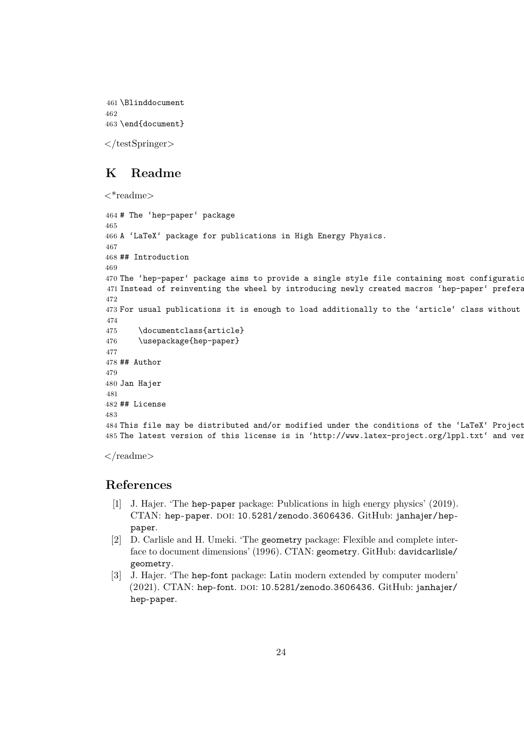```
461 \Blinddocument
462
463 \end{document}
```
 $\langle$ testSpringer>

# <span id="page-23-0"></span>**K Readme**

```
<*readme>
```

```
464 # The 'hep-paper' package
465
466 A 'LaTeX' package for publications in High Energy Physics.
467
468 ## Introduction
469
470 The 'hep-paper' package aims to provide a single style file containing most configurations
471 Instead of reinventing the wheel by introducing newly created macros 'hep-paper' prefera
472
473 For usual publications it is enough to load additionally to the 'article' class without
474
475 \documentclass{article}
476 \usepackage{hep-paper}
477
478 ## Author
479
480 Jan Hajer
481
482 ## License
483
484 This file may be distributed and/or modified under the conditions of the 'LaTeX' Project
485 The latest version of this license is in 'http://www.latex-project.org/lppl.txt' and ver
```

```
\langlereadme\rangle
```
# **References**

- <span id="page-23-1"></span>[\[1\]](#page-2-6) J. Hajer. 'The hep-paper package: Publications in high energy physics' (2019). CTAN: [hep-paper](https://ctan.org/pkg/hep-paper). DOI: [10.5281/zenodo.3606436](https://doi.org/10.5281/zenodo.3606436). GitHub: [janhajer/hep](https://github.com/janhajer/hep-paper)[paper](https://github.com/janhajer/hep-paper).
- <span id="page-23-2"></span>[\[2\]](#page-2-6) D. Carlisle and H. Umeki. 'The geometry package: Flexible and complete interface to document dimensions' (1996). CTAN: [geometry](https://ctan.org/pkg/geometry). GitHub: [davidcarlisle/](https://github.com/davidcarlisle/geometry) [geometry](https://github.com/davidcarlisle/geometry).
- <span id="page-23-3"></span>[\[3\]](#page-2-6) J. Hajer. 'The hep-font package: Latin modern extended by computer modern'  $(2021)$ . CTAN: [hep-font](https://ctan.org/pkg/hep-font). DOI: [10.5281/zenodo.3606436](https://doi.org/10.5281/zenodo.3606436). GitHub: [janhajer/](https://github.com/janhajer/hep-paper) [hep-paper](https://github.com/janhajer/hep-paper).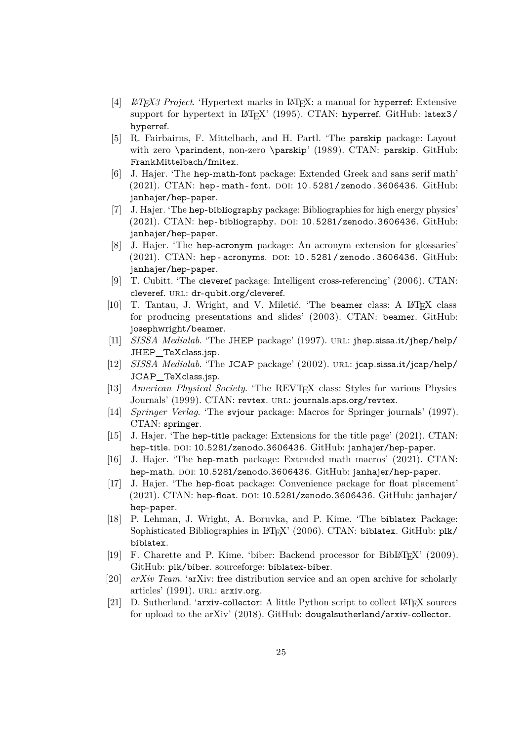- <span id="page-24-0"></span>[\[4\]](#page-2-6) *LATEX3 Project*. 'Hypertext marks in LATEX: a manual for hyperref: Extensive support for hypertext in LAT<sub>E</sub>X' (1995). CTAN: [hyperref](https://ctan.org/pkg/hyperref). GitHub: [latex3/](https://github.com/latex3/hyperref) [hyperref](https://github.com/latex3/hyperref).
- <span id="page-24-1"></span>[\[5\]](#page-2-6) R. Fairbairns, F. Mittelbach, and H. Partl. 'The parskip package: Layout with zero \parindent, non-zero \parskip' (1989). CTAN: [parskip](https://ctan.org/pkg/parskip). GitHub: [FrankMittelbach/fmitex](https://github.com/FrankMittelbach/fmitex).
- <span id="page-24-2"></span>[\[6\]](#page-2-6) J. Hajer. 'The hep-math-font package: Extended Greek and sans serif math' (2021). CTAN: hep-math-font. DOI: 10.5281/zenodo.3606436. GitHub: [janhajer/hep-paper](https://github.com/janhajer/hep-paper).
- <span id="page-24-3"></span>[\[7\]](#page-2-6) J. Hajer. 'The hep-bibliography package: Bibliographies for high energy physics'  $(2021)$ . CTAN: [hep-bibliography](https://ctan.org/pkg/hep-bibliography). DOI: [10.5281/zenodo.3606436](https://doi.org/10.5281/zenodo.3606436). GitHub: [janhajer/hep-paper](https://github.com/janhajer/hep-paper).
- <span id="page-24-4"></span>[\[8\]](#page-3-4) J. Hajer. 'The hep-acronym package: An acronym extension for glossaries'  $(2021)$ . CTAN: [hep - acronyms](https://ctan.org/pkg/hep-acronyms). DOI: 10.5281 [/ zenodo .](https://doi.org/10.5281/zenodo.3606436) 3606436. GitHub: [janhajer/hep-paper](https://github.com/janhajer/hep-paper).
- <span id="page-24-5"></span>[\[9\]](#page-3-4) T. Cubitt. 'The cleveref package: Intelligent cross-referencing' (2006). CTAN: [cleveref](https://ctan.org/pkg/cleveref). URL: [dr-qubit.org/cleveref](http://dr-qubit.org/cleveref).
- <span id="page-24-6"></span>[\[10\]](#page-3-4) T. Tantau, J. Wright, and V. Miletić. 'The beamer class: A L<sup>AT</sup>FX class for producing presentations and slides' (2003). CTAN: [beamer](https://ctan.org/pkg/beamer). GitHub: [josephwright/beamer](https://github.com/josephwright/beamer).
- <span id="page-24-7"></span>[\[11\]](#page-3-4) *SISSA Medialab*. 'The JHEP package' (1997). URL: [jhep.sissa.it/jhep/help/](https://jhep.sissa.it/jhep/help/JHEP_TeXclass.jsp) JHEP TeXclass.jsp.
- <span id="page-24-8"></span>[\[12\]](#page-3-4) *SISSA Medialab*. 'The JCAP package' (2002). url: [jcap.sissa.it/jcap/help/](https://jcap.sissa.it/jcap/help/JCAP_TeXclass.jsp) [JCAP\\_TeXclass.jsp](https://jcap.sissa.it/jcap/help/JCAP_TeXclass.jsp).
- <span id="page-24-9"></span>[\[13\]](#page-3-4) *American Physical Society*. 'The REVT<sub>E</sub>X class: Styles for various Physics Journals' (1999). CTAN: [revtex](https://ctan.org/pkg/revtex). URL: [journals.aps.org/revtex](https://journals.aps.org/revtex).
- <span id="page-24-10"></span>[\[14\]](#page-3-4) *Springer Verlag*. 'The svjour package: Macros for Springer journals' (1997). CTAN: [springer](https://ctan.org/pkg/springer).
- <span id="page-24-11"></span>[\[15\]](#page-3-4) J. Hajer. 'The hep-title package: Extensions for the title page' (2021). CTAN: [hep-title](https://ctan.org/pkg/hep-title). DOI: [10.5281/zenodo.3606436](https://doi.org/10.5281/zenodo.3606436). GitHub: [janhajer/hep-paper](https://github.com/janhajer/hep-paper).
- <span id="page-24-12"></span>[\[16\]](#page-5-2) J. Hajer. 'The hep-math package: Extended math macros' (2021). CTAN: [hep-math](https://ctan.org/pkg/hep-math). DOI: [10.5281/zenodo.3606436](https://doi.org/10.5281/zenodo.3606436). GitHub: [janhajer/hep-paper](https://github.com/janhajer/hep-paper).
- <span id="page-24-13"></span>[\[17\]](#page-6-3) J. Hajer. 'The hep-float package: Convenience package for float placement'  $(2021)$ . CTAN: [hep-float](https://ctan.org/pkg/hep-float). DOI: [10.5281/zenodo.3606436](https://doi.org/10.5281/zenodo.3606436). GitHub: [janhajer/](https://github.com/janhajer/hep-paper) [hep-paper](https://github.com/janhajer/hep-paper).
- <span id="page-24-14"></span>[\[18\]](#page-6-3) P. Lehman, J. Wright, A. Boruvka, and P. Kime. 'The biblatex Package: Sophisticated Bibliographies in LAT<sub>E</sub>X' (2006). CTAN: [biblatex](https://ctan.org/pkg/biblatex). GitHub: [plk/](https://github.com/plk/biblatex) [biblatex](https://github.com/plk/biblatex).
- <span id="page-24-15"></span>[\[19\]](#page-6-3) F. Charette and P. Kime. 'biber: Backend processor for BibLAT<sub>F</sub>X' (2009). GitHub: [plk/biber](https://github.com/plk/biber). sourceforge: <biblatex-biber>.
- <span id="page-24-16"></span>[\[20\]](#page-6-3) *arXiv Team*. 'arXiv: free distribution service and an open archive for scholarly articles' (1991). URL: [arxiv.org](https://arxiv.org).
- <span id="page-24-17"></span>[\[21\]](#page-7-0) D. Sutherland. 'arxiv-collector: A little Python script to collect LATEX sources for upload to the arXiv' (2018). GitHub: [dougalsutherland/arxiv-collector](https://github.com/dougalsutherland/arxiv-collector).